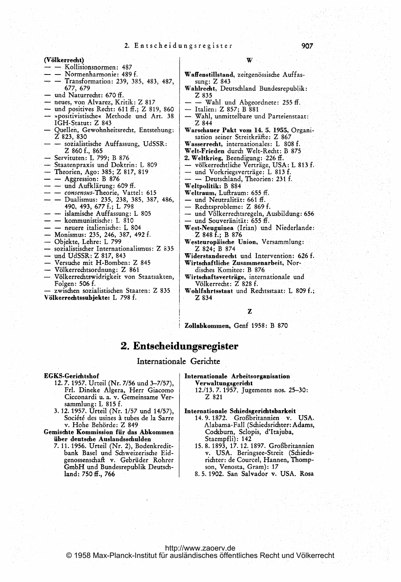(Völkerrecht)

- Kollisionsnormen: 487
- Normenharmonie: 489 f.
- Transformation: 239, 385, 483, 487, 677, 679
- und Naturrecht: 670 ff.
- neues, von Alvarez, Kritik: Z 817
- und positives Recht: 611 ff.; Z 819, 860
- »positivistische« Methode und Art. 38<br>IGH-Statut: Z 843
- Quellen, Gewohnheitsrecht, Entstehung: Z 823, 830
- sozialistische Auffassung, UdSSR:  $Z$  860 f., 865
- Servituten: L 799; B 876
- Staatenpraxis und Doktrin: L 809
- Theorien, Ago: 385; Z 817, 819
- Aggression: B 876
- und Aufklärung: 609 ff.
- consensus-Theorie, Vattel: 615
- - Dualismus: 235, 238, 385, 387, 486, 490, 493, 677 f.; L 798
- - islamische Auffassung: L 805
- - kommunistische: L 810
- – neuere italienische: L 804
- Monismus: 235, 246, 387, 492 f.
- Objekte, Lehre: L 799
- sozialistischer Internationalismus: Z 835
- und UdSSR: Z 817, 843
- Versuche mit H-Bomben: Z 845
- Völkerrechtsordnung: Z 861
- Völkerrechtswidrigkeit von Staatsakten, Folgen: 506 f.

zwischen sozialistischen Staaten: Z 835 Völkerrechtssubjekte: L 798 f.

- 
- Waffenstillstand, zeitgenössische Auffassung: Z 843
- Wahlrecht, Deutschland Bundesrepublik: Z 835
	- Wahl und Abgeordnete: 255 ff.
- Italien: Z 857; B 881
- Wahl, unmittelbare und Parteienstaat: Z 844
- Warschauer Pakt vom 14. 5. 1955, Organisation seiner Streitkräfte: Z 867
- Wasserrecht, internationales: L 808 f.
- Welt-Frieden durch Welt-Recht: B 875
- 2. Weltkrieg, Beendigung: 226 ff.
- völkerrechtliche Verträge, USA: L 813 f.
- und Vorkriegsverträge: L 813 f.
- Deutschland, Theorien: 231 f.
- Weltpolitik: B 884
- Weltraum, Luftraum: 655 ff.
- und Neutralität: 661 ff.
- Rechtsprobleme: Z 869 f.
- und Völkerrechtsregeln, Ausbildung: 656 - und Souveränität: 655 ff.
- West-Neuguinea (Irian) und Niederlande: Z 848 f.; B 876
- Westeuropäische Union, Versammlung: Z 824; B 874
- Widerstandsrecht und Intervention: 626 f. Wirtschaftliche Zusammenarbeit, Nor-

disches Komitee: B 876

- Wirtschaftsverträge, internationale und Völkerrecht: Z 828 f.
- Wohlfahrtsstaat und Rechtsstaat: L 809 f.; Z 834

z

Zollabkommen, Genf 1958: B 870

# 2. Entscheidungsregister

### Internationale Gerichte

**EGKS-Gerichtshof** 

- 12.7.1957. Urteil (Nr. 7/56 und 3-7/57), Frl. Dineke Algera, Herr Giacomo Cicconardi u. a. v. Gemeinsame Versammlung: L 815 f.
- 3. 12. 1957. Urteil (Nr. 1/57 und 14/57), Société des usines à tubes de la Sarre v. Hohe Behörde: Z 849

Gemischte Kommission für das Abkommen über deutsche Auslandsschulden

- 7. 11. 1956. Urteil (Nr. 2), Bodenkreditbank Basel und Schweizerische Eidgenossenschaft v. Gebrüder Rohrer GmbH und Bundesrepublik Deutschland: 750 ff., 766
- Internationale Arbeitsorganisation Verwaltungsgericht
	- 12./13. 7. 1957. Jugements nos. 25-30: Z 821

#### Internationale Schiedsgerichtsbarkeit

- 14.9.1872. Großbritannien v. USA. Alabama-Fall (Schiedsrichter: Adams, Cockburn, Sclopis, d'Itajuba, Staempfli): 142
- 15.8.1893, 17.12.1897. Großbritannien v. USA. Beringsee-Streit (Schiedsrichter: de Courcel, Hannen, Thompson, Venosta, Gram): 17
- 8.5.1902. San Salvador v. USA. Rosa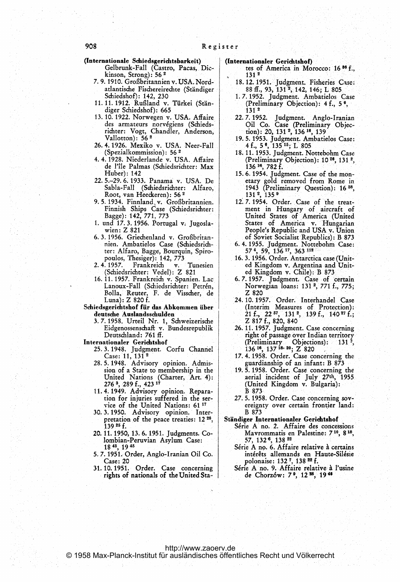(Internationale Schiedsgerichtsbarkeit) (Internationaler Gerichtshof)<br>Gelbrunk-Fall (Castro, Pacas, Dic- tes of America in Mo kinson, Strong):  $56<sup>2</sup>$  131<sup>2</sup>

- 7. 9. 1910. Grogbritannien v. USA. Nord- 18.12.1951. judgment. Fisheries Case; atlantische Fischereirechte (Ständiger 88 ff., 93, 131<sup>2</sup>, 142, 146; L 805
- 11. 11. 1912. Rußland v. Türkei (Stän- (Preliminary Objection): 4 f., 5<sup>°</sup>, diger Schiedshof): 665 diger Schiedshof): 665
- 13.10.1922. Norwegen v. USA. Affaire 22.7.1952. Judgment. Anglo-Iranian des armateurs norvégiens (Schieds- Oil Co. Case (Preliminary Objectivitier: Vogt, Chandler, Anderson, comparation): 20, 131 <sup>2</sup>, 136<sup>18</sup>, 139
- 26. 4. 1926. Mexiko v. USA. Neer-Fall
- de l'île Palmas (Schiedsrichter: Max
- Root, van Heeckeren): 56<sup>2</sup>
- 9. 5. 1934. Finnland, v. Großbritannien. | 12. 7. 1954. Order. Case of the treat-
- 
- 6.3.1956. Griechenland v. Großbritan- of Soviet Socialist Republics): B 873 nien. Ambatielos Case (Schiedsrich- 6.4.1955. Judgment. Nottebohm Case:<br>ter: Alfaro, Bagge, Bourquin, Spiro- 57<sup>4</sup>, 59, 136<sup>17</sup>, 363<sup>112</sup> ter: Alfaro, Bagge, Bourquin, Spiro-
- 2. 4. 1957. Frankreich v. Tunesien ed Kingdom v. Argentina and Unit-<br>
(Schiedsrichter: Vedel): Z 821 ed Kingdom v. Chile): B 873 (Schiedsrichter: Vedel): Z 821
- 16. 11. 1957. Frankreich v. Spanien. Lac | 6. 7. 1957. Judgment. Case of certain Bolla, Reuter, F. de Visscher, de Z 820
- Schiedsgerichtshof für das Abkommen über
	- 3. 7. 1958. Urteil Nr. 1, Schweizerische Eidgenossenschaft v. Bundesrepublik 26. 11. 1957. judgment. Case concerning
- 
- Internationaler Gerichtshof<br>25.3.1948. Judgment. Corfu Channel<br>Case: 11, 131<sup>2</sup>
	-
	- 276 3, 289 f., 423  $^{12}$ <br>
	11. 4. 1949. Advisory opinion. Repara-<br>
	tion for injuries suffered in the ser-<br>
	27. 5. 1958. Order. Case concerning
	- 30.3.1950. Advisory opinion. Inter- B 873 pretation of the peace treaties: 12<sup>28</sup>, Ständiger Internationaler Gerichtshof
	- lombian-Peruvian Asylum Case:<br>18<sup>43</sup>, 19<sup>45</sup>
	- 5. 7. 1951. Order, Anglo-Iranian Oil Co. intérêts allemands en Haute-Silésie<br>Case: 20 polonaise: 132 7, 138 <sup>22</sup> f.<br>31. 10. 1951. Order. Case concerning Série A no. 9. Affaire relative à l'usine
	- 31. 10. 1951. Order. Case concerning Série A no. 9. Affaire relative à rights of nationals of the United Sta- de Chorzów: 7<sup>9</sup>, 12<sup>28</sup>, 19<sup>46</sup>

- tes of America in Morocco: 16<sup>36</sup> f.,
- 
- Schiedshof): 142, 230 1. 7. 1952. Judgment. Ambatielos Case
- des armateurs norvégiens (Schieds- Oil Co. Case (Preliminary Objec-<br>richter: Vogt, Chandler, Anderson, tion): 20, 131 <sup>2</sup>, 136 <sup>16</sup>, 139
- Vallotton): 56<sup>2</sup> 19.5.1953. judgment. Ambatielos Case:<br>4.1926. Mexiko v. USA. Neer-Fall 4f., 5<sup>6</sup>, 135<sup>15</sup>; L 805
- (Spezialkommission): 56 <sup>2</sup> 18.11.1953. judgment. Nottebohm Case 4. 4. 1928. Niederlande v. USA. Affaire (Preliminary Objection):  $10^{20}$ ,  $131^{2}$ , de l'île Palmas (Schiedsrichter: Max 136<sup>16</sup>, 782 f.
- Huber): 142 15. 6. 1954. Judgment. Case of the mon-22.5.-29.6.1933. Panama v. USA. De etary gold removed from Rome in Sabla-Fall (Schiedsrichter: Alfaro, 1943 (Preliminary Question): 16<sup>38</sup>, Root, van Heeckeren): 56<sup>2</sup> 131<sup>2</sup>, 135<sup>9</sup>
- Finnish Ships Case (Schiedsrichter: ment in Hungary of aircraft of Bagge): 142, 771, 773 United States of America (United Finnish Ships Case (Schiedsrichter: ment in Hungary of aircraft of Bagge): 142, 771, 773 United States of America (United 1. und 17.3.1956. Portugal v. Jugosla- States of America v. Hungarian wien: Z 821 People's Republic and USA v. Union
	-
	- poulos, Thesiger): 142, 773 16. 3. 1956. Order. Antarctica case (Unit-
	- Lanoux-Fall (Schiedsrichter: Petren, Norwegian loans: 131<sup>2</sup>, 771 f., 775;
- Luna): Z 820 f. 24. 10. 1957. Order. Interhandel Case iedsgerichtshof für das Abkommen über (Interim Measures of Protection):<br>deutsche Auslandsschulden 21 f., 22  $^{57}$ , 131 <sup>2</sup>, 139 f., 140 <sup>27</sup> f.;<br>3. 7. 1958. Urteil Nr. 1, Schweizerische Z 817 f., 820, 840
- Deutschland: 761 ff. right of passage over Indian territory Internationaler Gerichtshof (Preliminary Objections): 1312,
	- Case:  $11, 131^2$  17. 4. 1958. Order. Case concerning the 28.5.1948. Advisory opinion. Admis- guardianship of an infant: B <sup>873</sup>
		- sion of a State to membership in the 19. 5.1958. Order. Case concerning the United Nations (Charter, Art. 4):  $\blacksquare$  19. 5.1958. Order. Case concerning the United Nations (Charter, Art. 4): aerial incident of July 27th, 1955 276<sup>3</sup>, 289 f., 423<sup>17</sup> (United Kingdom v. Bulgaria):
		- 27.5.1958. Order. Case concerning sovvice of the United Nations: 61<sup>17</sup> ereignty over certain frontier land:
			-
	- 139<sup>25</sup> f. Serie A no. 2. Affaire des concessions 20. 11. 1950, 13. 6. 1951. Judgments. Co- Mavrommatis en Palestine: 7<sup>10</sup>, 8<sup>18</sup>, lombian-Peruvian Asylum Case: 57, 132<sup>6</sup>, 138<sup>22</sup>
	- 18 43, 19 45<br>5. 7. 1951. Order, Anglo-Iranian Oil Co. Serie A no. 6. Affaire relative a certains<br>5. 7. 1951. Order, Anglo-Iranian Oil Co. intérêts allemands en Haute-Silésie
		-

#### <http://www.zaoerv.de> © 1958 Max-Planck-Institut für ausländisches öffentliches Recht und Völkerrecht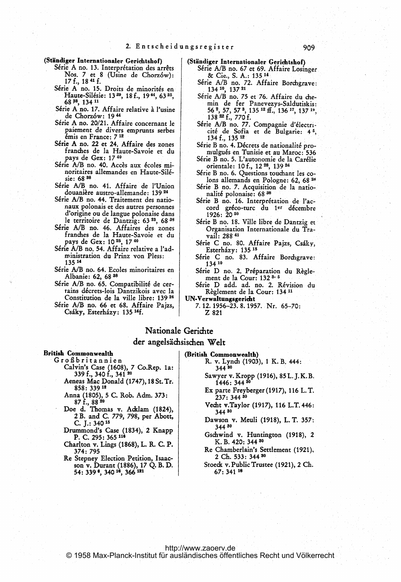(Stiindiger Internationaler Gerichtshof)

- Série A no. 13. Interprétation des arrêts Nos. 7 et 8 (Usine de Chorzów): 17 f., 18 <sup>41</sup> f.
- Série A no. 15. Droits de minorités en Haute-Silésie: 13<sup>29</sup>, 18f., 19<sup>44</sup>, 63<sup>25</sup>, 68 P, 134 <sup>11</sup>
- Série A no. 17. Affaire relative à l'usine de Chorz6w: 19 <sup>44</sup>
- Série A no. 20/21. Affaire concernant le gaiement de divers emprunts serbes émis en France: 7 12
- Série A no. 22 et 24. Affaire des zones franches de la Haute-Savoie et du pays de Gex: <sup>17</sup> <sup>40</sup>
- Série A/B no. 40. Accès aux écoles minoritaires allemandes en Haute-Silesie: 68 s8
- Série A/B no. 41. Affaire de l'Union douanière austro-allemande: 139 <sup>24</sup>
- S6rie A/B no. 44. Traitement des nationaux polonais et des autres personnes d'origine ou de langue polonaise dans le territoire de Dantzig: 63<sup>28</sup>, 68<sup>38</sup>
- Série A/B no. 46. Affaires des zones franches de la Haute-Savoie et du 'pays de Gex: <sup>10</sup> 25, <sup>17</sup> <sup>40</sup>
- Série A/B no. 54. Affaire relative a l'administration du Prinz von Pless: 13514
- Série A/B no. 64. Ecoles minoritaires en Albanie: 62, 68 <sup>38</sup>
- Série A/B no. 65. Compatibilité de certains décrets-lois Dantzikois avec la Constitution de la ville libre: 139<sup>24</sup>
- Série A/B no. 66 et 68. Affaire Pajzs, Csáky, Esterházy: 135<sup>14</sup>f.
- (Ständiger Internationaler Gerichtshof)<br>Série A/B no. 67 et 69. Affaire Losinger Cie., S. A.: 135 <sup>14</sup>
	- Série A/B no. 72. Affaire Borchgrave: 134 10, 137 <sup>21</sup>
	- Série A/B no. 75 et 76. Affaire du chemin de fer Panevezys-Saldutiskis: 56 2, 57, 57 3, 135 <sup>12</sup> ff., 136 17 137 19, 138 <sup>22</sup> f., 770 f.
	- Série A/B no. 77. Compagnie d'électricit6 de Sofia et de Bulgarie: 4 5, 134 f., 135 <sup>12</sup>
	- Série B no. 4. Décrets de nationalité promulgués en Tunisie et au Maroc: 536
	- S6rie B no. 5. L'autonomie de la Car6lie orientale: 10 f., 12 28, 139 <sup>24</sup>
	- S6rie B no. 6. Questions touchant les colons allemands en Pologne: 62, 68 38
	- Série B no. 7. Acquisition de la nationalité polonaise: 68 36
	- Série B no. 16. Interprétation de l'accord gréco-turc du 1er décembre 1926: 20 <sup>50</sup>
	- S6rie B no. 18. Ville libre de Dantzig et Organisation Internationale du Travail: 288 <sup>41</sup>
	- Série C no. 80. Affaire Pajzs, Csáky, Esterházy: 135<sup>15</sup>
	- Série C no. 83. Affaire Borchgrave: 13410
- Série D no. 2. Préparation du Règle-<br>ment de la Cour: 132<sup>3, 5</sup> Série C no. 83.<br>
134<sup>10</sup><br>
Série D no. 2. Pré<br>
ment de la Cour<br>
estre D add. ad.<br>
Règlement de la<br>
UN-Verwaltungsgericht

S6rie D add. ad. no. 2. R6vision du Règlement de la Cour: 134 11

7.12.1956-23.8.1957. Nr. 65-70:

Z <sup>821</sup>

# Nationale Gerichte

## der angelsächsischen Welt

### British Commonwealth

- Großbritannien Calvin's Case 1608), 7 Co.Rep. 1a: 339 f., 340 f., 341<sup>20</sup>
	- Aeneas Mac Donald (1747), 18 St. Tr. 858: 339 <sup>12</sup>
	- Anna (1805), <sup>5</sup> C. Rob. Adm. 373: 87 f., 88 <sup>20</sup> Doe d. Thomas v. Adklarn (1824),
	- 2 B. and C. 779, 798, per Abott, C. J.: 340 <sup>15</sup>
	- Drummond's Case (1834), 2 Knapp P. C. 295: 365 <sup>116</sup>
	- Charlton v. Lings (1868), L. R. C. P. 374: 795
	- Re Stepney Election Petition, Isaacson<sup>-</sup>v. Durant (1886), 17 Q. B. D.<br>54: 339 <sup>e</sup>. 340 <sup>16</sup>. 366 <sup>121</sup>
- (British Commonwealth) R. v. Lynch (1903), <sup>1</sup> K. B. 444: 34430
	- Sawyer v. Kropp (1916), 85 L. J. K. B.<br>1446: 344 <sup>30</sup>
	- Ex parte Freyberger (1917), <sup>116</sup> L. T. 237: 344 <sup>30</sup>
	- Vecht v.Taylor (1917), 116 L.T. 446: 34430
	- Dawson v. Meuli (1918), L. T. 357': 34430
	- Gschwind v. Huntington (1918), 2 K. B. 420: 344 <sup>30</sup>
	- Re Chamberlain's. Settlement (1921), 2 Ch. 533: 344 30
	- Stoeck v. Public Trustee (1921), 2 Ch. 67: 341 <sup>18</sup>